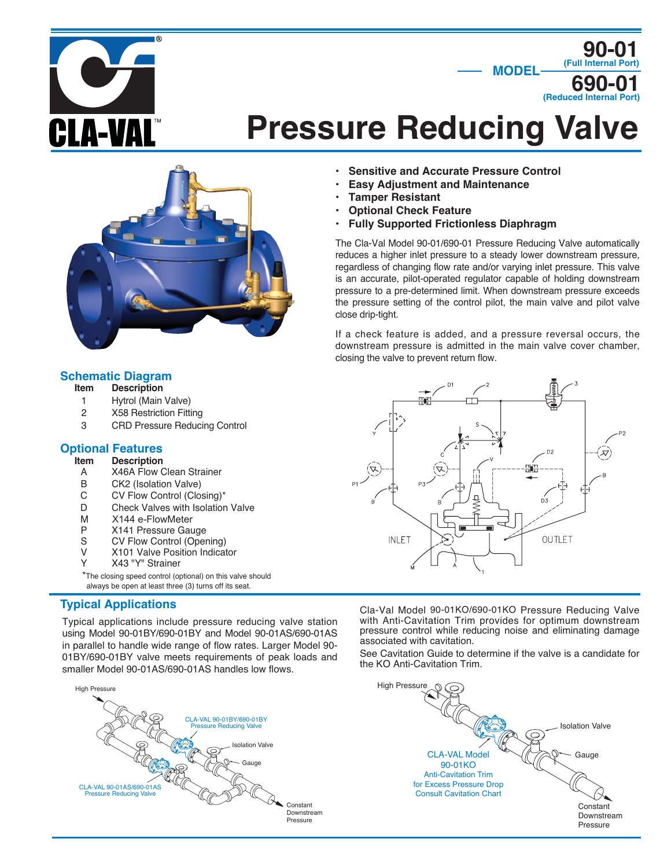

# **Pressure Reducing Valve**



# **Schematic Diagram**<br>**Item** Description

- **Description**
- 1 Hytrol (Main Valve)
- 2 X58 Restriction Fitting
- 3 CRD Pressure Reducing Control

# **Optional Features**

- **Description**
- A X46A Flow Clean Strainer<br>B CK2 (Isolation Valve)
- B CK2 (Isolation Valve)<br>C CV Flow Control (Clos
- C CV Flow Control (Closing)\*<br>D Check Valves with Isolation
- Check Valves with Isolation Valve
- M X144 e-FlowMeter<br>P X141 Pressure Gau
- P X141 Pressure Gauge<br>S CV Flow Control (Oper
- CV Flow Control (Opening)
- V X101 Valve Position Indicator
- Y X43 "Y" Strainer

\*The closing speed control (optional) on this valve should always be open at least three (3) turns off its seat.

# **Typical Applications**

Typical applications include pressure reducing valve station using Model 90-01BY/690-01BY and Model 90-01AS/690-01AS in parallel to handle wide range of flow rates. Larger Model 90- 01BY/690-01BY valve meets requirements of peak loads and smaller Model 90-01AS/690-01AS handles low flows.



- **Sensitive and Accurate Pressure Control**
- **Easy Adjustment and Maintenance**
- **Tamper Resistant**
- **Optional Check Feature**
- **Fully Supported Frictionless Diaphragm**

The Cla-Val Model 90-01/690-01 Pressure Reducing Valve automatically reduces a higher inlet pressure to a steady lower downstream pressure, regardless of changing flow rate and/or varying inlet pressure. This valve is an accurate, pilot-operated regulator capable of holding downstream pressure to a pre-determined limit. When downstream pressure exceeds the pressure setting of the control pilot, the main valve and pilot valve close drip-tight.

If a check feature is added, and a pressure reversal occurs, the downstream pressure is admitted in the main valve cover chamber, closing the valve to prevent return flow.



Cla-Val Model 90-01KO/690-01KO Pressure Reducing Valve with Anti-Cavitation Trim provides for optimum downstream pressure control while reducing noise and eliminating damage associated with cavitation.

See Cavitation Guide to determine if the valve is a candidate for the KO Anti-Cavitation Trim.

Isolation Valve

**90-01**

**690-01 (Reduced Internal Port)**

**MODEL (Full Internal Port)**

Gauge

**Constant** Downstream Pressure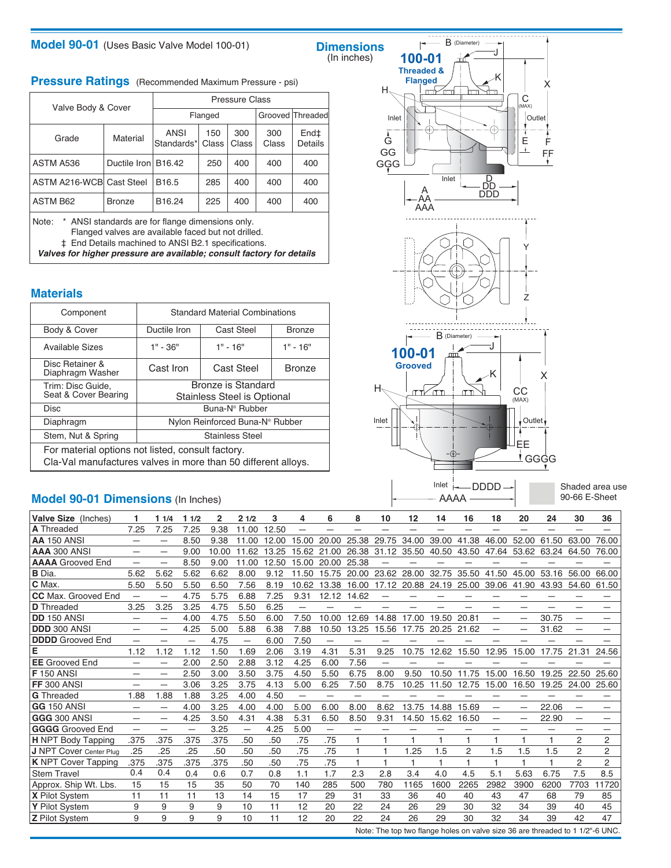## **Model 90-01** (Uses Basic Valve Model 100-01)

# **Dimensions**<br>(In inches)

**Pressure Ratings** (Recommended Maximum Pressure - psi)

|                          |                     | <b>Pressure Class</b> |              |              |                  |                 |  |  |  |  |  |  |
|--------------------------|---------------------|-----------------------|--------------|--------------|------------------|-----------------|--|--|--|--|--|--|
| Valve Body & Cover       |                     |                       | Flanged      |              | Grooved Threaded |                 |  |  |  |  |  |  |
| Grade                    | Material            | ANSI<br>Standards*    | 150<br>Class | 300<br>Class | 300<br>Class     | End‡<br>Details |  |  |  |  |  |  |
| ASTM A536                | Ductile Iron B16.42 |                       | 250          | 400          | 400              | 400             |  |  |  |  |  |  |
| ASTM A216-WCB Cast Steel |                     | B <sub>16.5</sub>     | 285          | 400          | 400              | 400             |  |  |  |  |  |  |
| <b>ASTM B62</b>          | <b>Bronze</b>       | B16.24                | 225          | 400          | 400              | 400             |  |  |  |  |  |  |
|                          |                     |                       |              |              |                  |                 |  |  |  |  |  |  |

Note: \* ANSI standards are for flange dimensions only. Flanged valves are available faced but not drilled. ‡ End Details machined to ANSI B2.1 specifications.

**Valves for higher pressure are available; consult factory for details**

### **Materials**

| Component                                                                                                          | <b>Standard Material Combinations</b> |                                             |               |  |  |  |  |  |  |
|--------------------------------------------------------------------------------------------------------------------|---------------------------------------|---------------------------------------------|---------------|--|--|--|--|--|--|
| Body & Cover                                                                                                       | Ductile Iron                          | Cast Steel                                  | <b>Bronze</b> |  |  |  |  |  |  |
| Available Sizes                                                                                                    | $1" - 36"$                            | $1" - 16"$                                  | $1" - 16"$    |  |  |  |  |  |  |
| Disc Retainer &<br>Diaphragm Washer                                                                                | Cast Iron                             | Cast Steel<br><b>Bronze</b>                 |               |  |  |  |  |  |  |
| Trim: Disc Guide,<br>Seat & Cover Bearing                                                                          | Bronze is Standard                    |                                             |               |  |  |  |  |  |  |
|                                                                                                                    | Stainless Steel is Optional           |                                             |               |  |  |  |  |  |  |
| Disc                                                                                                               | Buna-N® Rubber                        |                                             |               |  |  |  |  |  |  |
| Diaphragm                                                                                                          |                                       | Nylon Reinforced Buna-N <sup>®</sup> Rubber |               |  |  |  |  |  |  |
| Stem, Nut & Spring                                                                                                 | <b>Stainless Steel</b>                |                                             |               |  |  |  |  |  |  |
| For material options not listed, consult factory.<br>Cla-Val manufactures valves in more than 50 different alloys. |                                       |                                             |               |  |  |  |  |  |  |

# **Model 90-01 Dimensions** (In Inches)



AAAA

Shaded area use 90-66 E-Sheet

| Valve Size (Inches)            |                          | 11/4                     | 11/2                     | 2     | 21/2                     | 3     | 4     | 6                        | 8            | 10    | 12    | 14    | 16    | 18    | 20                       | 24    | 30             | 36             |
|--------------------------------|--------------------------|--------------------------|--------------------------|-------|--------------------------|-------|-------|--------------------------|--------------|-------|-------|-------|-------|-------|--------------------------|-------|----------------|----------------|
| <b>A</b> Threaded              | 7.25                     | 7.25                     | 7.25                     | 9.38  | 11.00                    | 12.50 | —     |                          |              |       |       |       |       |       |                          |       |                |                |
| <b>AA 150 ANSI</b>             | $\overline{\phantom{0}}$ | $\overline{\phantom{0}}$ | 8.50                     | 9.38  | 11.00                    | 12.00 | 15.00 | 20.00                    | 25.38        | 29.75 | 34.00 | 39.00 | 41.38 | 46.00 | 52.00                    | 61.50 | 63.00          | 76.00          |
| AAA 300 ANSI                   |                          |                          | 9.00                     | 10.00 | 11.62                    | 13.25 | 15.62 | 21<br>-00                | 26.38        | 31.12 | 35.50 | 40.50 | 43.50 | 47.64 | 53.62                    | 63.24 | 64.50          | 76.00          |
| <b>AAAA</b> Grooved End        |                          | —                        | 8.50                     | 9.00  | 11.00                    | 12.50 | 15.00 | 20.00                    | 25.38        |       |       |       |       |       |                          |       |                |                |
| <b>B</b> Dia                   | 5.62                     | 5.62                     | 5.62                     | 6.62  | 8.00                     | 9.12  | 11.50 | 15.75                    | 20.00        | 23.62 | 28.00 | 32.75 | 35.50 | 41.50 | 45.00                    | 53.16 | 56.00          | 66.00          |
| C Max.                         | 5.50                     | 5.50                     | 5.50                     | 6.50  | 7.56                     | 8.19  | 10.62 | 13.38                    | 16.00        | 17.12 | 20.88 | 24.19 | 25.00 | 39.06 | 41.90                    | 43.93 | 54.60          | 61.50          |
| <b>CC</b> Max. Grooved End     | $\overline{\phantom{0}}$ | -                        | 4.75                     | 5.75  | 6.88                     | 7.25  | 9.31  | 12.12                    | 14.62        |       |       |       |       |       |                          |       |                |                |
| <b>D</b> Threaded              | 3.25                     | 3.25                     | 3.25                     | 4.75  | 5.50                     | 6.25  | —     |                          |              |       |       |       |       |       |                          |       |                |                |
| <b>DD</b> 150 ANSI             | -                        | -                        | 4.00                     | 4.75  | 5.50                     | 6.00  | 7.50  | 10.00                    | 12.69        | 14.88 | 17.00 | 19.50 | 20.81 | —     | $\overline{\phantom{0}}$ | 30.75 | -              |                |
| <b>DDD 300 ANSI</b>            |                          |                          | 4.25                     | 5.00  | 5.88                     | 6.38  | 7.88  | 10.50                    | 13.25        | 15.56 | 17.75 | 20.25 | 21.62 |       | -                        | 31.62 |                |                |
| <b>DDDD</b> Grooved End        | —                        |                          | $\overline{\phantom{0}}$ | 4.75  | $\overline{\phantom{0}}$ | 6.00  | 7.50  | $\overline{\phantom{0}}$ | —            |       |       |       |       |       |                          |       |                |                |
| Е                              | 1.12                     | 1.12                     | 1.12                     | 1.50  | 1.69                     | 2.06  | 3.19  | 4.31                     | 5.31         | 9.25  | 10.75 | 12.62 | 15.50 | 12.95 | 15.00                    | 17.75 | 21.31          | 24.56          |
| <b>EE</b> Grooved End          | —                        |                          | 2.00                     | 2.50  | 2.88                     | 3.12  | 4.25  | 6.00                     | 7.56         |       |       |       |       |       |                          |       |                |                |
| <b>F</b> 150 ANSI              | -                        |                          | 2.50                     | 3.00  | 3.50                     | 3.75  | 4.50  | 5.50                     | 6.75         | 8.00  | 9.50  | 10.50 | 11.75 | 15.00 | 16.50                    | 19.25 | 22.50          | 25.60          |
| <b>FF 300 ANSI</b>             | -                        | —                        | 3.06                     | 3.25  | 3.75                     | 4.13  | 5.00  | 6.25                     | 7.50         | 8.75  | 10.25 | 11.50 | 12.75 | 15.00 | 16.50                    | 19.25 | 24.00          | 25.60          |
| <b>G</b> Threaded              | 1.88                     | 1.88                     | 1.88                     | 3.25  | 4.00                     | 4.50  | —     | -                        |              |       |       |       |       |       |                          |       |                |                |
| <b>GG 150 ANSI</b>             | —                        | -                        | 4.00                     | 3.25  | 4.00                     | 4.00  | 5.00  | 6.00                     | 8.00         | 8.62  | 13.75 | 14.88 | 15.69 |       | $\overline{\phantom{0}}$ | 22.06 |                |                |
| <b>GGG 300 ANS</b>             | —                        | —                        | 4.25                     | 3.50  | 4.31                     | 4.38  | 5.31  | 6.50                     | 8.50         | 9.31  | 14.50 | 15.62 | 16.50 |       | -                        | 22.90 |                |                |
| <b>GGGG</b> Grooved End        | —                        | -                        | $\overline{\phantom{0}}$ | 3.25  | $\overline{\phantom{0}}$ | 4.25  | 5.00  | $\overline{\phantom{0}}$ |              |       |       |       |       |       |                          |       |                |                |
| <b>H</b> NPT Body Tapping      | .375                     | .375                     | .375                     | .375  | .50                      | .50   | .75   | .75                      |              |       | 1     | 1     |       | 1     | 1                        |       | $\overline{2}$ | 2              |
| <b>J NPT Cover Center Plug</b> | .25                      | .25                      | .25                      | .50   | .50                      | .50   | .75   | .75                      |              |       | 1.25  | 1.5   | 2     | 1.5   | 1.5                      | 1.5   | $\overline{2}$ | $\overline{2}$ |
| <b>K</b> NPT Cover Tapping     | .375                     | .375                     | .375                     | .375  | .50                      | .50   | .75   | .75                      |              |       | 1     |       |       |       | 1                        | H     | $\overline{2}$ | $\overline{c}$ |
| <b>Stem Travel</b>             | 0.4                      | 0.4                      | 0.4                      | 0.6   | 0.7                      | 0.8   | 1.1   | 1.7                      | 2.3          | 2.8   | 3.4   | 4.0   | 4.5   | 5.1   | 5.63                     | 6.75  | 7.5            | 8.5            |
| Approx. Ship Wt. Lbs.          | 15                       | 15                       | 15                       | 35    | 50                       | 70    | 140   | 285                      | 500          | 780   | 1165  | 1600  | 2265  | 2982  | 3900                     | 6200  | 7703           | 1720           |
| <b>X</b> Pilot System          | 11                       | 11                       | 11                       | 13    | 14                       | 15    | 17    | 29                       | 31           | 33    | 36    | 40    | 40    | 43    | 47                       | 68    | 79             | 85             |
| Y Pilot System                 | 9                        | 9                        | 9                        | 9     | 10                       | 11    | 12    | 20                       | 22           | 24    | 26    | 29    | 30    | 32    | 34                       | 39    | 40             | 45             |
| <b>Z</b> Pilot System          | 9                        | 9                        | 9                        | 9     | 10                       | 11    | 12    | 20                       | 22<br>$\sim$ | 24    | 26    | 29    | 30    | 32    | 34                       | 39    | 42<br>1.121    | 47             |

Note: The top two flange holes on valve size 36 are threaded to 1 1/2"-6 UNC.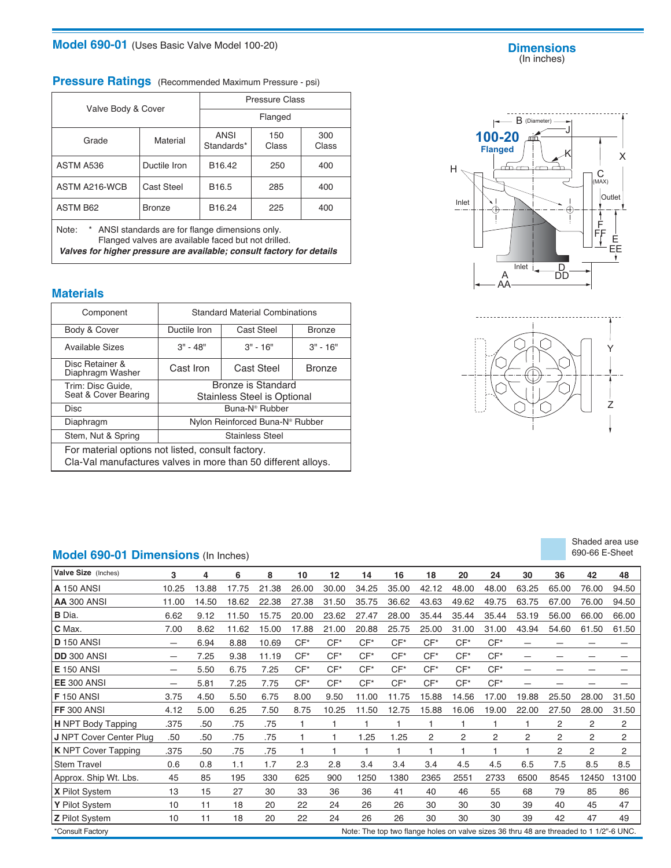# **Model 690-01** (Uses Basic Valve Model 100-20)

#### **Dimensions** (In inches)

# **Pressure Ratings** (Recommended Maximum Pressure - psi)

|                                                                                                                  |               | <b>Pressure Class</b> |              |              |  |  |  |  |  |
|------------------------------------------------------------------------------------------------------------------|---------------|-----------------------|--------------|--------------|--|--|--|--|--|
| Valve Body & Cover                                                                                               |               | Flanged               |              |              |  |  |  |  |  |
| Grade                                                                                                            | Material      | ANSI<br>Standards*    | 150<br>Class | 300<br>Class |  |  |  |  |  |
| ASTM A536                                                                                                        | Ductile Iron  | B <sub>16.42</sub>    | 250          | 400          |  |  |  |  |  |
| ASTM A216-WCB                                                                                                    | Cast Steel    | B <sub>16.5</sub>     | 400          |              |  |  |  |  |  |
| <b>ASTM B62</b>                                                                                                  | <b>Bronze</b> | B16.24                | 225          | 400          |  |  |  |  |  |
| Note:<br>* ANSI standards are for flange dimensions only.<br>Flanged valves are available faced but not drilled. |               |                       |              |              |  |  |  |  |  |

**Valves for higher pressure are available; consult factory for details**

### **Materials**

| Component                                                                                                          | <b>Standard Material Combinations</b>                    |                                             |               |  |  |  |  |  |
|--------------------------------------------------------------------------------------------------------------------|----------------------------------------------------------|---------------------------------------------|---------------|--|--|--|--|--|
| Body & Cover                                                                                                       | Ductile Iron                                             | Cast Steel                                  | <b>Bronze</b> |  |  |  |  |  |
| <b>Available Sizes</b>                                                                                             | $3" - 48"$                                               | $3" - 16"$                                  |               |  |  |  |  |  |
| Disc Retainer &<br>Diaphragm Washer                                                                                | Cast Iron                                                | <b>Cast Steel</b>                           | <b>Bronze</b> |  |  |  |  |  |
| Trim: Disc Guide,<br>Seat & Cover Bearing                                                                          | Bronze is Standard<br><b>Stainless Steel is Optional</b> |                                             |               |  |  |  |  |  |
| <b>Disc</b>                                                                                                        | Buna-N <sup>®</sup> Rubber                               |                                             |               |  |  |  |  |  |
| Diaphragm                                                                                                          |                                                          | Nylon Reinforced Buna-N <sup>®</sup> Rubber |               |  |  |  |  |  |
| Stem, Nut & Spring                                                                                                 |                                                          | <b>Stainless Steel</b>                      |               |  |  |  |  |  |
| For material options not listed, consult factory.<br>Cla-Val manufactures valves in more than 50 different alloys. |                                                          |                                             |               |  |  |  |  |  |

# **Model 690-01 Dimensions** (In Inches)

| Valve Size (Inches)            | 3               | 4     | 6     | 8     | 10    | 12    | 14                                                                                     | 16    | 18    | 20             | 24    | 30    | 36             | 42             | 48             |
|--------------------------------|-----------------|-------|-------|-------|-------|-------|----------------------------------------------------------------------------------------|-------|-------|----------------|-------|-------|----------------|----------------|----------------|
| <b>A</b> 150 ANSI              | 10.25           | 13.88 | 17.75 | 21.38 | 26.00 | 30.00 | 34.25                                                                                  | 35.00 | 42.12 | 48.00          | 48.00 | 63.25 | 65.00          | 76.00          | 94.50          |
| <b>AA 300 ANSI</b>             | 11.00           | 14.50 | 18.62 | 22.38 | 27.38 | 31.50 | 35.75                                                                                  | 36.62 | 43.63 | 49.62          | 49.75 | 63.75 | 67.00          | 76.00          | 94.50          |
| <b>B</b> Dia.                  | 6.62            | 9.12  | 11.50 | 15.75 | 20.00 | 23.62 | 27.47                                                                                  | 28.00 | 35.44 | 35.44          | 35.44 | 53.19 | 56.00          | 66.00          | 66.00          |
| C Max.                         | 7.00            | 8.62  | 11.62 | 15.00 | 17.88 | 21.00 | 20.88                                                                                  | 25.75 | 25.00 | 31.00          | 31.00 | 43.94 | 54.60          | 61.50          | 61.50          |
| <b>D</b> 150 ANSI              | $\qquad \qquad$ | 6.94  | 8.88  | 10.69 | $CF*$ | $CF*$ | $CF*$                                                                                  | $CF*$ | $CF*$ | $CF*$          | $CF*$ | —     |                |                |                |
| <b>DD</b> 300 ANSI             | $\qquad \qquad$ | 7.25  | 9.38  | 11.19 | $CF*$ | $CF*$ | $CF*$                                                                                  | $CF*$ | $CF*$ | $CF*$          | $CF*$ | —     | -              |                |                |
| <b>E</b> 150 ANSI              | $\qquad \qquad$ | 5.50  | 6.75  | 7.25  | $CF*$ | $CF*$ | $CF*$                                                                                  | $CF*$ | $CF*$ | $CF*$          | $CF*$ | -     | -              |                |                |
| EE 300 ANSI                    |                 | 5.81  | 7.25  | 7.75  | $CF*$ | $CF*$ | $CF*$                                                                                  | $CF*$ | $CF*$ | $CF*$          | $CF*$ | -     |                |                |                |
| <b>F</b> 150 ANSI              | 3.75            | 4.50  | 5.50  | 6.75  | 8.00  | 9.50  | 11.00                                                                                  | 11.75 | 15.88 | 14.56          | 17.00 | 19.88 | 25.50          | 28.00          | 31.50          |
| FF 300 ANSI                    | 4.12            | 5.00  | 6.25  | 7.50  | 8.75  | 10.25 | 11.50                                                                                  | 12.75 | 15.88 | 16.06          | 19.00 | 22.00 | 27.50          | 28.00          | 31.50          |
| <b>H</b> NPT Body Tapping      | .375            | .50   | .75   | .75   |       |       |                                                                                        |       | 1     | 1              | 1     | 1     | $\overline{2}$ | 2              | $\overline{2}$ |
| <b>J</b> NPT Cover Center Plug | .50             | .50   | .75   | .75   |       |       | 1.25                                                                                   | 1.25  | 2     | $\overline{2}$ | 2     | 2     | 2              | $\overline{c}$ | 2              |
| <b>K</b> NPT Cover Tapping     | .375            | .50   | .75   | .75   |       |       | 1                                                                                      | 1     | 1     | 1              | 1     | H     | 2              | 2              | $\overline{2}$ |
| <b>Stem Travel</b>             | 0.6             | 0.8   | 1.1   | 1.7   | 2.3   | 2.8   | 3.4                                                                                    | 3.4   | 3.4   | 4.5            | 4.5   | 6.5   | 7.5            | 8.5            | 8.5            |
| Approx. Ship Wt. Lbs.          | 45              | 85    | 195   | 330   | 625   | 900   | 1250                                                                                   | 1380  | 2365  | 2551           | 2733  | 6500  | 8545           | 12450          | 13100          |
| X Pilot System                 | 13              | 15    | 27    | 30    | 33    | 36    | 36                                                                                     | 41    | 40    | 46             | 55    | 68    | 79             | 85             | 86             |
| Y Pilot System                 | 10              | 11    | 18    | 20    | 22    | 24    | 26                                                                                     | 26    | 30    | 30             | 30    | 39    | 40             | 45             | 47             |
| Z Pilot System                 | 10              | 11    | 18    | 20    | 22    | 24    | 26                                                                                     | 26    | 30    | 30             | 30    | 39    | 42             | 47             | 49             |
| *Consult Factory               |                 |       |       |       |       |       | Note: The top two flange holes on valve sizes 36 thru 48 are threaded to 1 1/2"-6 UNC. |       |       |                |       |       |                |                |                |





| Shaded area use |  |
|-----------------|--|
| 690-66 E-Sheet  |  |